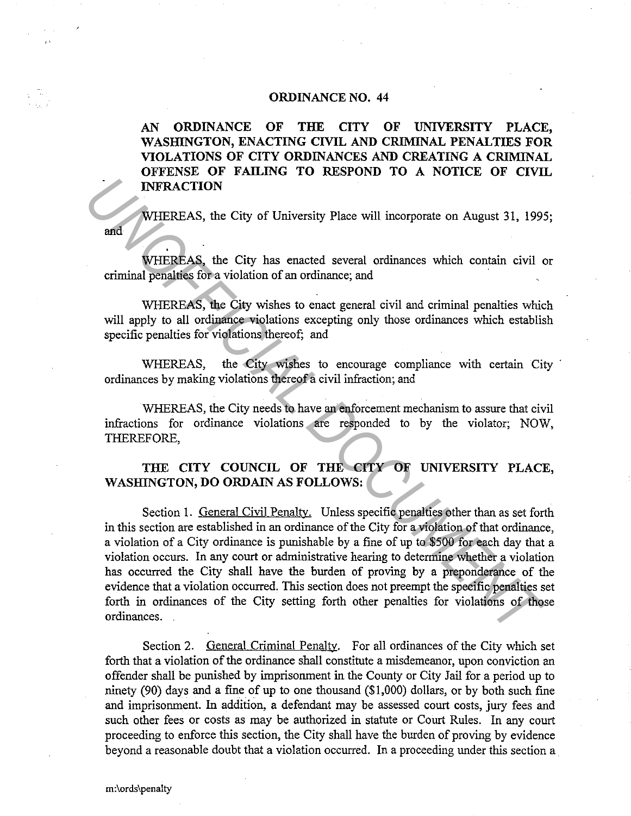## **ORDINANCE NO. 44**

**AN ORDINANCE OF THE CITY OF UNIVERSITY PLACE, WASHINGTON, ENACTING CIVIL AND CRIMINAL PENALTIES FOR VIOLATIONS OF CITY ORDINANCES AND CREATING A CRIMINAL OFFENSE OF FAILING TO RESPOND TO A NOTICE OF CIVIL INFRACTION** 

and WHEREAS, the City of University Place will incorporate on August 31, 1995;

WHEREAS, the City has enacted several ordinances which contain civil or criminal penalties for a violation of an ordinance; and

WHEREAS, the City wishes to enact general civil and criminal penalties which will apply to all ordinance violations excepting only those ordinances which establish specific penalties for violations thereof; and

WHEREAS, the City wishes to encourage compliance with certain City ordinances by making violations thereof a civil infraction; and

WHEREAS, the City needs to have an enforcement mechanism to assure that civil infractions for ordinance violations are responded to by the violator; NOW, THEREFORE,

## **THE CITY COUNCIL OF THE CITY OF UNIVERSITY PLACE, WASHINGTON, DO ORDAIN AS FOLLOWS:**

Section 1. General Civil Penalty. Unless specific penalties other than as set forth in this section are established in an ordinance of the City for a violation of that ordinance, a violation of a City ordinance is punishable by a fine of up to \$500 for each day that a violation occurs. In any court or administrative hearing to determine whether a violation has occurred the City shall have the burden of proving by a preponderance of the evidence that a violation occurred. This section does not preempt the specific penalties set forth in ordinances of the City setting forth other penalties for violations of those ordinances. **INTRACTION**<br> **VALUATE EXECUTE AS**, the City of University Place will incorporate on August 31, 199;<br> **WHEREAS**, the City has enacted several ordinances which contain civil<br> **COUMERTEAS**, the City wishes to enact general c

Section 2. General Criminal Penalty. For all ordinances of the City which set forth that a violation of the ordinance shall constitute a misdemeanor, upon conviction an offender shall be punished by imprisonment in the County or City Jail for a period up to ninety (90) days and a fine of up to one thousand (\$1,000) dollars, or by both such fine and imprisonment. In addition, a defendant may be assessed court costs, jury fees and such other fees or costs as may be authorized in statute or Court Rules. In any court proceeding to enforce this section, the City shall have the burden of proving by evidence beyond a reasonable doubt that a violation occurred. In a proceeding under this section a.